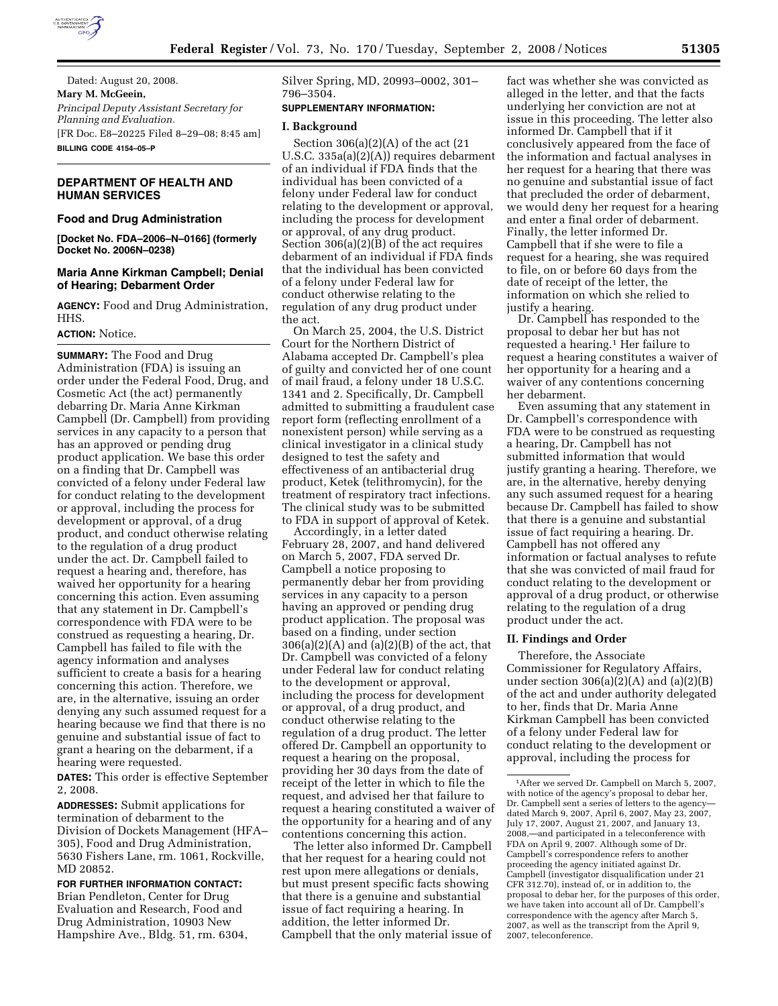

Dated: August 20, 2008. **Mary M. McGeein,**  *Principal Deputy Assistant Secretary for Planning and Evaluation.*  [FR Doc. E8–20225 Filed 8–29–08; 8:45 am] **BILLING CODE 4154–05–P** 

# **DEPARTMENT OF HEALTH AND HUMAN SERVICES**

### **Food and Drug Administration**

**[Docket No. FDA–2006–N–0166] (formerly Docket No. 2006N–0238)** 

# **Maria Anne Kirkman Campbell; Denial of Hearing; Debarment Order**

**AGENCY:** Food and Drug Administration, HHS.

## **ACTION:** Notice.

**SUMMARY:** The Food and Drug Administration (FDA) is issuing an order under the Federal Food, Drug, and Cosmetic Act (the act) permanently debarring Dr. Maria Anne Kirkman Campbell (Dr. Campbell) from providing services in any capacity to a person that has an approved or pending drug product application. We base this order on a finding that Dr. Campbell was convicted of a felony under Federal law for conduct relating to the development or approval, including the process for development or approval, of a drug product, and conduct otherwise relating to the regulation of a drug product under the act. Dr. Campbell failed to request a hearing and, therefore, has waived her opportunity for a hearing concerning this action. Even assuming that any statement in Dr. Campbell's correspondence with FDA were to be construed as requesting a hearing, Dr. Campbell has failed to file with the agency information and analyses sufficient to create a basis for a hearing concerning this action. Therefore, we are, in the alternative, issuing an order denying any such assumed request for a hearing because we find that there is no genuine and substantial issue of fact to grant a hearing on the debarment, if a hearing were requested.

**DATES:** This order is effective September 2, 2008.

**ADDRESSES:** Submit applications for termination of debarment to the Division of Dockets Management (HFA– 305), Food and Drug Administration, 5630 Fishers Lane, rm. 1061, Rockville, MD 20852.

**FOR FURTHER INFORMATION CONTACT:**  Brian Pendleton, Center for Drug Evaluation and Research, Food and Drug Administration, 10903 New Hampshire Ave., Bldg. 51, rm. 6304, Silver Spring, MD, 20993–0002, 301– 796–3504.

### **SUPPLEMENTARY INFORMATION:**

#### **I. Background**

Section  $306(a)(2)(A)$  of the act  $(21)$ U.S.C. 335a(a)(2)(A)) requires debarment of an individual if FDA finds that the individual has been convicted of a felony under Federal law for conduct relating to the development or approval, including the process for development or approval, of any drug product. Section 306(a)(2)(B) of the act requires debarment of an individual if FDA finds that the individual has been convicted of a felony under Federal law for conduct otherwise relating to the regulation of any drug product under the act.

On March 25, 2004, the U.S. District Court for the Northern District of Alabama accepted Dr. Campbell's plea of guilty and convicted her of one count of mail fraud, a felony under 18 U.S.C. 1341 and 2. Specifically, Dr. Campbell admitted to submitting a fraudulent case report form (reflecting enrollment of a nonexistent person) while serving as a clinical investigator in a clinical study designed to test the safety and effectiveness of an antibacterial drug product, Ketek (telithromycin), for the treatment of respiratory tract infections. The clinical study was to be submitted to FDA in support of approval of Ketek.

Accordingly, in a letter dated February 28, 2007, and hand delivered on March 5, 2007, FDA served Dr. Campbell a notice proposing to permanently debar her from providing services in any capacity to a person having an approved or pending drug product application. The proposal was based on a finding, under section  $306(a)(2)(A)$  and  $(a)(2)(B)$  of the act, that Dr. Campbell was convicted of a felony under Federal law for conduct relating to the development or approval, including the process for development or approval, of a drug product, and conduct otherwise relating to the regulation of a drug product. The letter offered Dr. Campbell an opportunity to request a hearing on the proposal, providing her 30 days from the date of receipt of the letter in which to file the request, and advised her that failure to request a hearing constituted a waiver of the opportunity for a hearing and of any contentions concerning this action.

The letter also informed Dr. Campbell that her request for a hearing could not rest upon mere allegations or denials, but must present specific facts showing that there is a genuine and substantial issue of fact requiring a hearing. In addition, the letter informed Dr. Campbell that the only material issue of

fact was whether she was convicted as alleged in the letter, and that the facts underlying her conviction are not at issue in this proceeding. The letter also informed Dr. Campbell that if it conclusively appeared from the face of the information and factual analyses in her request for a hearing that there was no genuine and substantial issue of fact that precluded the order of debarment, we would deny her request for a hearing and enter a final order of debarment. Finally, the letter informed Dr. Campbell that if she were to file a request for a hearing, she was required to file, on or before 60 days from the date of receipt of the letter, the information on which she relied to justify a hearing.

Dr. Campbell has responded to the proposal to debar her but has not requested a hearing.1 Her failure to request a hearing constitutes a waiver of her opportunity for a hearing and a waiver of any contentions concerning her debarment.

Even assuming that any statement in Dr. Campbell's correspondence with FDA were to be construed as requesting a hearing, Dr. Campbell has not submitted information that would justify granting a hearing. Therefore, we are, in the alternative, hereby denying any such assumed request for a hearing because Dr. Campbell has failed to show that there is a genuine and substantial issue of fact requiring a hearing. Dr. Campbell has not offered any information or factual analyses to refute that she was convicted of mail fraud for conduct relating to the development or approval of a drug product, or otherwise relating to the regulation of a drug product under the act.

#### **II. Findings and Order**

Therefore, the Associate Commissioner for Regulatory Affairs, under section 306(a)(2)(A) and (a)(2)(B) of the act and under authority delegated to her, finds that Dr. Maria Anne Kirkman Campbell has been convicted of a felony under Federal law for conduct relating to the development or approval, including the process for

<sup>1</sup>After we served Dr. Campbell on March 5, 2007, with notice of the agency's proposal to debar her, Dr. Campbell sent a series of letters to the agency dated March 9, 2007, April 6, 2007, May 23, 2007, July 17, 2007, August 21, 2007, and January 13, 2008,—and participated in a teleconference with FDA on April 9, 2007. Although some of Dr. Campbell's correspondence refers to another proceeding the agency initiated against Dr. Campbell (investigator disqualification under 21 CFR 312.70), instead of, or in addition to, the proposal to debar her, for the purposes of this order, we have taken into account all of Dr. Campbell's correspondence with the agency after March 5, 2007, as well as the transcript from the April 9, 2007, teleconference.